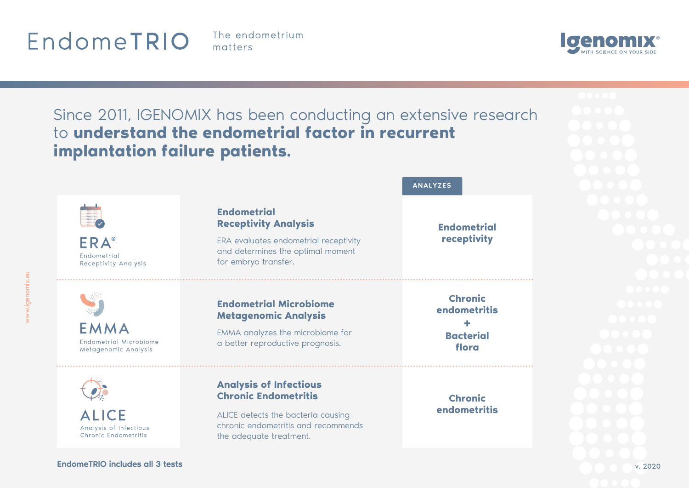## EndomeTRIO

The endometrium matters





v. 2020